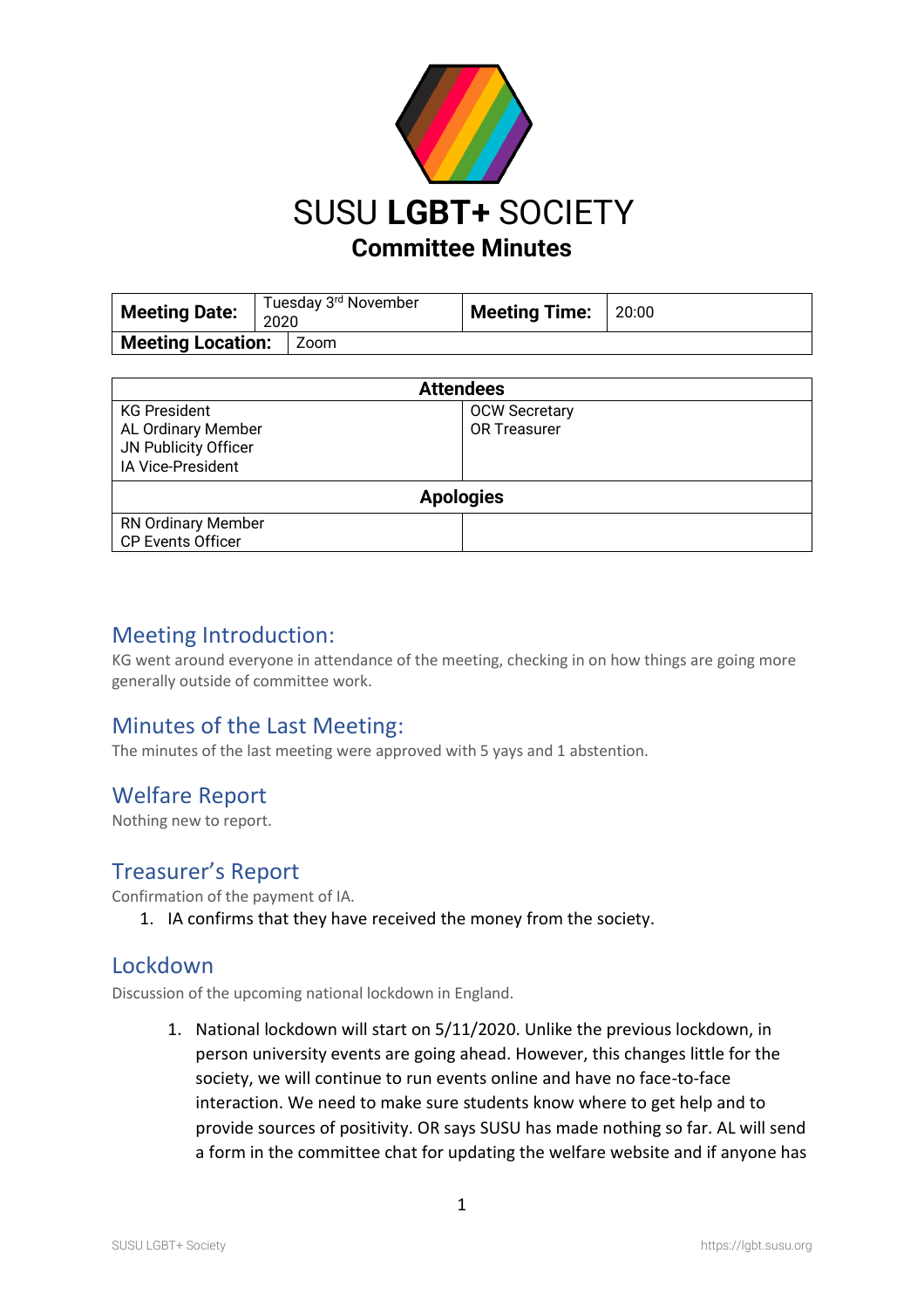

| <b>Meeting Date:</b>     | Tuesday 3 <sup>rd</sup> November<br>2020 |        | <b>Meeting Time:</b> | 20:00 |
|--------------------------|------------------------------------------|--------|----------------------|-------|
| <b>Meeting Location:</b> |                                          | l Zoom |                      |       |

| <b>Attendees</b>          |                      |  |  |  |
|---------------------------|----------------------|--|--|--|
| <b>KG President</b>       | <b>OCW Secretary</b> |  |  |  |
| AL Ordinary Member        | <b>OR Treasurer</b>  |  |  |  |
| JN Publicity Officer      |                      |  |  |  |
| <b>IA Vice-President</b>  |                      |  |  |  |
| <b>Apologies</b>          |                      |  |  |  |
| <b>RN Ordinary Member</b> |                      |  |  |  |
| <b>CP Events Officer</b>  |                      |  |  |  |

## Meeting Introduction:

KG went around everyone in attendance of the meeting, checking in on how things are going more generally outside of committee work.

## Minutes of the Last Meeting:

The minutes of the last meeting were approved with 5 yays and 1 abstention.

## Welfare Report

Nothing new to report.

## Treasurer's Report

Confirmation of the payment of IA.

1. IA confirms that they have received the money from the society.

## Lockdown

Discussion of the upcoming national lockdown in England.

1. National lockdown will start on 5/11/2020. Unlike the previous lockdown, in person university events are going ahead. However, this changes little for the society, we will continue to run events online and have no face-to-face interaction. We need to make sure students know where to get help and to provide sources of positivity. OR says SUSU has made nothing so far. AL will send a form in the committee chat for updating the welfare website and if anyone has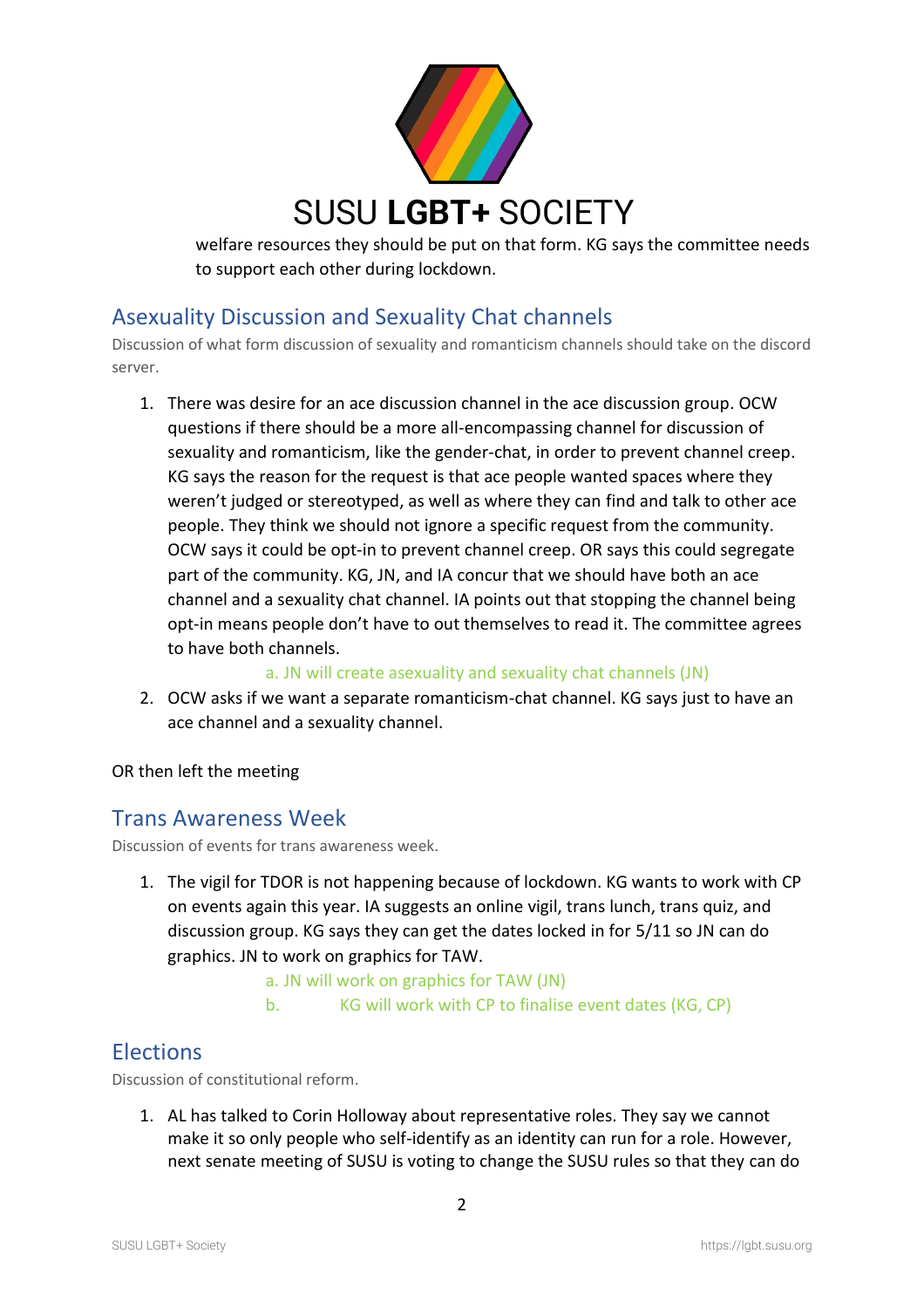

welfare resources they should be put on that form. KG says the committee needs to support each other during lockdown.

# Asexuality Discussion and Sexuality Chat channels

Discussion of what form discussion of sexuality and romanticism channels should take on the discord server.

1. There was desire for an ace discussion channel in the ace discussion group. OCW questions if there should be a more all-encompassing channel for discussion of sexuality and romanticism, like the gender-chat, in order to prevent channel creep. KG says the reason for the request is that ace people wanted spaces where they weren't judged or stereotyped, as well as where they can find and talk to other ace people. They think we should not ignore a specific request from the community. OCW says it could be opt-in to prevent channel creep. OR says this could segregate part of the community. KG, JN, and IA concur that we should have both an ace channel and a sexuality chat channel. IA points out that stopping the channel being opt-in means people don't have to out themselves to read it. The committee agrees to have both channels.

#### a. JN will create asexuality and sexuality chat channels (JN)

2. OCW asks if we want a separate romanticism-chat channel. KG says just to have an ace channel and a sexuality channel.

#### OR then left the meeting

### Trans Awareness Week

Discussion of events for trans awareness week.

1. The vigil for TDOR is not happening because of lockdown. KG wants to work with CP on events again this year. IA suggests an online vigil, trans lunch, trans quiz, and discussion group. KG says they can get the dates locked in for 5/11 so JN can do graphics. JN to work on graphics for TAW.

#### a. JN will work on graphics for TAW (JN)

b. KG will work with CP to finalise event dates (KG, CP)

## **Elections**

Discussion of constitutional reform.

1. AL has talked to Corin Holloway about representative roles. They say we cannot make it so only people who self-identify as an identity can run for a role. However, next senate meeting of SUSU is voting to change the SUSU rules so that they can do